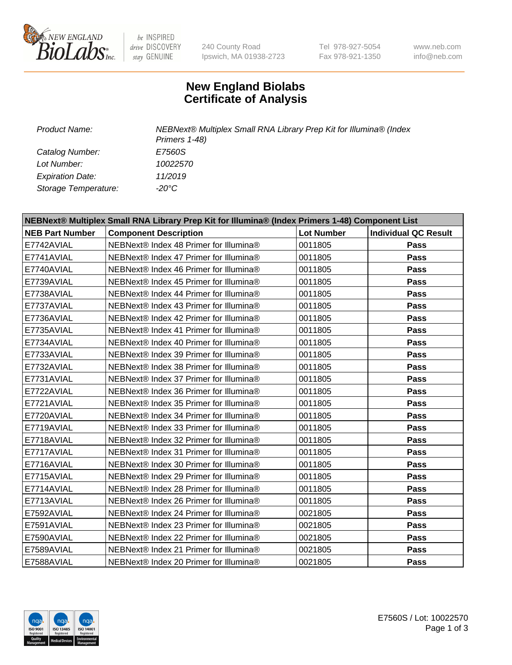

be INSPIRED drive DISCOVERY stay GENUINE

240 County Road Ipswich, MA 01938-2723 Tel 978-927-5054 Fax 978-921-1350

www.neb.com info@neb.com

## **New England Biolabs Certificate of Analysis**

*Catalog Number: E7560S Lot Number: 10022570 Expiration Date: 11/2019 Storage Temperature: -20°C*

*Product Name: NEBNext® Multiplex Small RNA Library Prep Kit for Illumina® (Index Primers 1-48)*

| NEBNext® Multiplex Small RNA Library Prep Kit for Illumina® (Index Primers 1-48) Component List |                                        |                   |                             |  |  |
|-------------------------------------------------------------------------------------------------|----------------------------------------|-------------------|-----------------------------|--|--|
| <b>NEB Part Number</b>                                                                          | <b>Component Description</b>           | <b>Lot Number</b> | <b>Individual QC Result</b> |  |  |
| E7742AVIAL                                                                                      | NEBNext® Index 48 Primer for Illumina® | 0011805           | Pass                        |  |  |
| E7741AVIAL                                                                                      | NEBNext® Index 47 Primer for Illumina® | 0011805           | Pass                        |  |  |
| E7740AVIAL                                                                                      | NEBNext® Index 46 Primer for Illumina® | 0011805           | <b>Pass</b>                 |  |  |
| E7739AVIAL                                                                                      | NEBNext® Index 45 Primer for Illumina® | 0011805           | Pass                        |  |  |
| E7738AVIAL                                                                                      | NEBNext® Index 44 Primer for Illumina® | 0011805           | Pass                        |  |  |
| E7737AVIAL                                                                                      | NEBNext® Index 43 Primer for Illumina® | 0011805           | Pass                        |  |  |
| E7736AVIAL                                                                                      | NEBNext® Index 42 Primer for Illumina® | 0011805           | Pass                        |  |  |
| E7735AVIAL                                                                                      | NEBNext® Index 41 Primer for Illumina® | 0011805           | Pass                        |  |  |
| E7734AVIAL                                                                                      | NEBNext® Index 40 Primer for Illumina® | 0011805           | Pass                        |  |  |
| E7733AVIAL                                                                                      | NEBNext® Index 39 Primer for Illumina® | 0011805           | Pass                        |  |  |
| E7732AVIAL                                                                                      | NEBNext® Index 38 Primer for Illumina® | 0011805           | Pass                        |  |  |
| E7731AVIAL                                                                                      | NEBNext® Index 37 Primer for Illumina® | 0011805           | <b>Pass</b>                 |  |  |
| E7722AVIAL                                                                                      | NEBNext® Index 36 Primer for Illumina® | 0011805           | <b>Pass</b>                 |  |  |
| E7721AVIAL                                                                                      | NEBNext® Index 35 Primer for Illumina® | 0011805           | Pass                        |  |  |
| E7720AVIAL                                                                                      | NEBNext® Index 34 Primer for Illumina® | 0011805           | Pass                        |  |  |
| E7719AVIAL                                                                                      | NEBNext® Index 33 Primer for Illumina® | 0011805           | <b>Pass</b>                 |  |  |
| E7718AVIAL                                                                                      | NEBNext® Index 32 Primer for Illumina® | 0011805           | <b>Pass</b>                 |  |  |
| E7717AVIAL                                                                                      | NEBNext® Index 31 Primer for Illumina® | 0011805           | Pass                        |  |  |
| E7716AVIAL                                                                                      | NEBNext® Index 30 Primer for Illumina® | 0011805           | Pass                        |  |  |
| E7715AVIAL                                                                                      | NEBNext® Index 29 Primer for Illumina® | 0011805           | <b>Pass</b>                 |  |  |
| E7714AVIAL                                                                                      | NEBNext® Index 28 Primer for Illumina® | 0011805           | Pass                        |  |  |
| E7713AVIAL                                                                                      | NEBNext® Index 26 Primer for Illumina® | 0011805           | <b>Pass</b>                 |  |  |
| E7592AVIAL                                                                                      | NEBNext® Index 24 Primer for Illumina® | 0021805           | Pass                        |  |  |
| E7591AVIAL                                                                                      | NEBNext® Index 23 Primer for Illumina® | 0021805           | Pass                        |  |  |
| E7590AVIAL                                                                                      | NEBNext® Index 22 Primer for Illumina® | 0021805           | Pass                        |  |  |
| E7589AVIAL                                                                                      | NEBNext® Index 21 Primer for Illumina® | 0021805           | Pass                        |  |  |
| E7588AVIAL                                                                                      | NEBNext® Index 20 Primer for Illumina® | 0021805           | <b>Pass</b>                 |  |  |

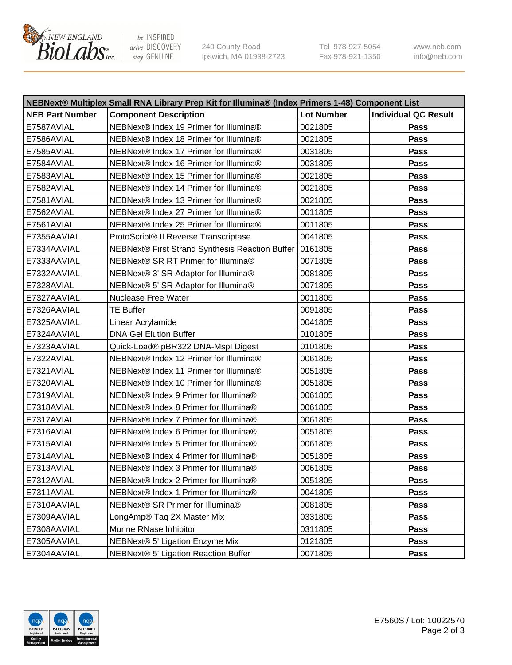

be INSPIRED drive DISCOVERY stay GENUINE

240 County Road Ipswich, MA 01938-2723 Tel 978-927-5054 Fax 978-921-1350 www.neb.com info@neb.com

| NEBNext® Multiplex Small RNA Library Prep Kit for Illumina® (Index Primers 1-48) Component List |                                                 |                   |                             |  |  |
|-------------------------------------------------------------------------------------------------|-------------------------------------------------|-------------------|-----------------------------|--|--|
| <b>NEB Part Number</b>                                                                          | <b>Component Description</b>                    | <b>Lot Number</b> | <b>Individual QC Result</b> |  |  |
| E7587AVIAL                                                                                      | NEBNext® Index 19 Primer for Illumina®          | 0021805           | Pass                        |  |  |
| E7586AVIAL                                                                                      | NEBNext® Index 18 Primer for Illumina®          | 0021805           | Pass                        |  |  |
| E7585AVIAL                                                                                      | NEBNext® Index 17 Primer for Illumina®          | 0031805           | Pass                        |  |  |
| E7584AVIAL                                                                                      | NEBNext® Index 16 Primer for Illumina®          | 0031805           | Pass                        |  |  |
| E7583AVIAL                                                                                      | NEBNext® Index 15 Primer for Illumina®          | 0021805           | Pass                        |  |  |
| E7582AVIAL                                                                                      | NEBNext® Index 14 Primer for Illumina®          | 0021805           | Pass                        |  |  |
| E7581AVIAL                                                                                      | NEBNext® Index 13 Primer for Illumina®          | 0021805           | Pass                        |  |  |
| E7562AVIAL                                                                                      | NEBNext® Index 27 Primer for Illumina®          | 0011805           | Pass                        |  |  |
| E7561AVIAL                                                                                      | NEBNext® Index 25 Primer for Illumina®          | 0011805           | Pass                        |  |  |
| E7355AAVIAL                                                                                     | ProtoScript® II Reverse Transcriptase           | 0041805           | Pass                        |  |  |
| E7334AAVIAL                                                                                     | NEBNext® First Strand Synthesis Reaction Buffer | 0161805           | Pass                        |  |  |
| E7333AAVIAL                                                                                     | NEBNext® SR RT Primer for Illumina®             | 0071805           | Pass                        |  |  |
| E7332AAVIAL                                                                                     | NEBNext® 3' SR Adaptor for Illumina®            | 0081805           | Pass                        |  |  |
| E7328AVIAL                                                                                      | NEBNext® 5' SR Adaptor for Illumina®            | 0071805           | Pass                        |  |  |
| E7327AAVIAL                                                                                     | <b>Nuclease Free Water</b>                      | 0011805           | Pass                        |  |  |
| E7326AAVIAL                                                                                     | <b>TE Buffer</b>                                | 0091805           | Pass                        |  |  |
| E7325AAVIAL                                                                                     | Linear Acrylamide                               | 0041805           | Pass                        |  |  |
| E7324AAVIAL                                                                                     | <b>DNA Gel Elution Buffer</b>                   | 0101805           | Pass                        |  |  |
| E7323AAVIAL                                                                                     | Quick-Load® pBR322 DNA-Mspl Digest              | 0101805           | <b>Pass</b>                 |  |  |
| E7322AVIAL                                                                                      | NEBNext® Index 12 Primer for Illumina®          | 0061805           | Pass                        |  |  |
| E7321AVIAL                                                                                      | NEBNext® Index 11 Primer for Illumina®          | 0051805           | <b>Pass</b>                 |  |  |
| E7320AVIAL                                                                                      | NEBNext® Index 10 Primer for Illumina®          | 0051805           | Pass                        |  |  |
| E7319AVIAL                                                                                      | NEBNext® Index 9 Primer for Illumina®           | 0061805           | Pass                        |  |  |
| E7318AVIAL                                                                                      | NEBNext® Index 8 Primer for Illumina®           | 0061805           | Pass                        |  |  |
| E7317AVIAL                                                                                      | NEBNext® Index 7 Primer for Illumina®           | 0061805           | Pass                        |  |  |
| E7316AVIAL                                                                                      | NEBNext® Index 6 Primer for Illumina®           | 0051805           | Pass                        |  |  |
| E7315AVIAL                                                                                      | NEBNext® Index 5 Primer for Illumina®           | 0061805           | Pass                        |  |  |
| E7314AVIAL                                                                                      | NEBNext® Index 4 Primer for Illumina®           | 0051805           | Pass                        |  |  |
| E7313AVIAL                                                                                      | NEBNext® Index 3 Primer for Illumina®           | 0061805           | Pass                        |  |  |
| E7312AVIAL                                                                                      | NEBNext® Index 2 Primer for Illumina®           | 0051805           | <b>Pass</b>                 |  |  |
| E7311AVIAL                                                                                      | NEBNext® Index 1 Primer for Illumina®           | 0041805           | Pass                        |  |  |
| E7310AAVIAL                                                                                     | NEBNext® SR Primer for Illumina®                | 0081805           | Pass                        |  |  |
| E7309AAVIAL                                                                                     | LongAmp® Taq 2X Master Mix                      | 0331805           | <b>Pass</b>                 |  |  |
| E7308AAVIAL                                                                                     | Murine RNase Inhibitor                          | 0311805           | Pass                        |  |  |
| E7305AAVIAL                                                                                     | NEBNext® 5' Ligation Enzyme Mix                 | 0121805           | Pass                        |  |  |
| E7304AAVIAL                                                                                     | NEBNext® 5' Ligation Reaction Buffer            | 0071805           | Pass                        |  |  |